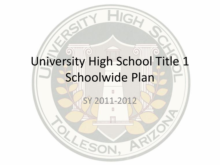# University High School Title 1 Schoolwide Plan

#### SY 2011-2012

LE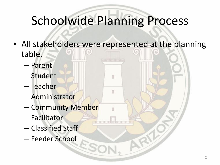# Schoolwide Planning Process

• All stakeholders were represented at the planning table.

п

- Parent
- Student
- Teacher
- Administrator
- Community Member
- Facilitator
- Classified Staff
- Feeder School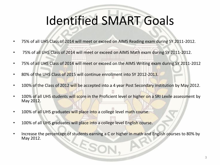# Identified SMART Goals

- 75% of all UHS Class of 2014 will meet or exceed on AIMS Reading exam during SY 2011-2012.
- 75% of all UHS Class of 2014 will meet or exceed on AIMS Math exam during SY 2011-2012.
- 75% of all UHS Class of 2014 will meet or exceed on the AIMS Writing exam during SY 2011-2012
- 80% of the UHS Class of 2015 will continue enrollment into SY 2012-2013.
- 100% of the Class of 2012 will be accepted into a 4 year Post Secondary institution by May 2012.
- 100% of all UHS students will score in the Proficient level or higher on a SRI Lexile assessment by May 2012.
- 100% of all UHS graduates will place into a college level math course.
- 100% of all UHS graduates will place into a college level English course.
- Increase the percentage of students earning a C or higher in math and English courses to 80% by May 2012. ES,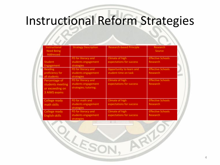# Instructional Reform Strategies

| <b>Instructional</b><br>Need Being<br>Addressed                      | <b>Strategy Description</b>                                         | <b>Research-based Principle</b>                  | <b>Research</b><br>Source                   |
|----------------------------------------------------------------------|---------------------------------------------------------------------|--------------------------------------------------|---------------------------------------------|
| <b>Student</b><br>Engagement                                         | PD for literacy and<br>students engagement<br>strategies            | Climate of high<br>expectations for success      | <b>Effective Schools</b><br>Research        |
| <b>Reading</b><br>proficiency for<br>all students                    | PD for literacy and<br>students engagement<br>strategies            | Opportunity to learn and<br>student time on task | <b>Effective Schools</b><br><b>Research</b> |
| Percentage of<br>students meeting<br>or exceeding on<br>3 AIMS exams | PD for literacy and<br>students engagement<br>strategies; tutoring; | Climate of high<br>expectations for success      | <b>Effective Schools</b><br>Research        |
| <b>College ready</b><br>math skills                                  | PD for math and<br>students engagement<br>strategies                | Climate of high<br>expectations for success      | <b>Effective Schools</b><br>Research        |
| College ready<br>English skills                                      | PD for literacy and<br>students engagement<br>strategies            | Climate of high<br>expectations for success      | <b>Effective Schools</b><br>Research        |

KE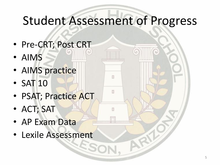#### Student Assessment of Progress

n

- Pre-CRT; Post CRT
- AIMS
- AIMS practice
- SAT 10
- PSAT; Practice ACT
- ACT; SAT
- AP Exam Data
- Lexile Assessment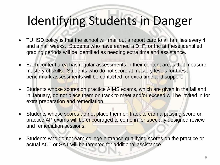#### Identifying Students in Danger

- TUHSD policy is that the school will mail out a report card to all families every 4 and a half weeks. Students who have earned a D, F, or Inc at these identified grading periods will be identified as needing extra time and assistance.
- Each content area has regular assessments in their content areas that measure mastery of skills. Students who do not score at mastery levels for these benchmark assessments will be contacted for extra time and support.
- Students whose scores on practice AIMS exams, which are given in the fall and in January, do not place them on track to meet and/or exceed will be invited in for extra preparation and remediation.
- Students whose scores do not place them on track to earn a passing score on practice AP exams will be encouraged to come in for specially designed review and remediation sessions.
- Students who do not earn college entrance qualifying scores on the practice or actual ACT or SAT will be targeted for additional assistance.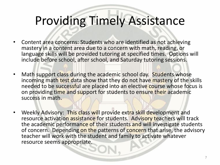#### Providing Timely Assistance

- Content area concerns: Students who are identified as not achieving mastery in a content area due to a concern with math, reading, or language skills will be provided tutoring at specified times. Options will include before school, after school, and Saturday tutoring sessions.
- Math support class during the academic school day. Students whose incoming math test data show that they do not have mastery of the skills needed to be successful are placed into an elective course whose focus is on providing time and support for students to ensure their academic success in math.
- Weekly Advisory: This class will provide extra skill development and resource activation assistance for students. Advisory teachers will track the academic performance of their students and will investigate students of concern. Depending on the patterns of concern that arise, the advisory teacher will work with the student and family to activate whatever resource seems appropriate.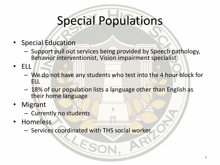# Special Populations

- Special Education
	- Support pull out services being provided by Speech pathology, Behavior interventionist, Vision impairment specialist
- ELL
	- We do not have any students who test into the 4 hour block for ELL
	- 18% of our population lists a language other than English as their home language
- **Migrant** 
	- Currently no students
- Homeless
	- Services coordinated with THS social worker.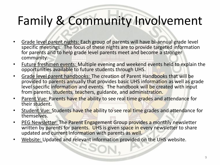### Family & Community Involvement

- Grade level parent nights: Each group of parents will have bi-annual grade level specific meetings. The focus of these nights are to provide targeted information for parents and to help grade level parents meet and become a stronger community.
- Future freshmen events: Multiple evening and weekend events held to explain the opportunities available to future students through UHS.
- Grade level parent handbooks: The creation of Parent Handbooks that will be provided to parents annually that provides basic UHS information as well as grade level specific information and events. The handbook will be created with input from parents, students, teachers, guidance, and administration.
- Parent Vue: Parents have the ability to see real time grades and attendance for their student.
- Student Vue: Students have the ability to see real time grades and attendance for themselves.
- PEG Newsletter: The Parent Engagement Group provides a monthly newsletter written by parents for parents. UHS is given space in every newsletter to share updated and current information with parents as well.
- Website: Updated and relevant information provided on the UHS website.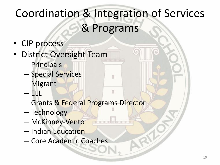# Coordination & Integration of Services & Programs

n

- CIP process
- District Oversight Team
	- Principals
	- Special Services
	- Migrant
	- ELL
	- Grants & Federal Programs Director
	- Technology
	- McKinney-Vento
	- Indian Education
	- Core Academic Coaches